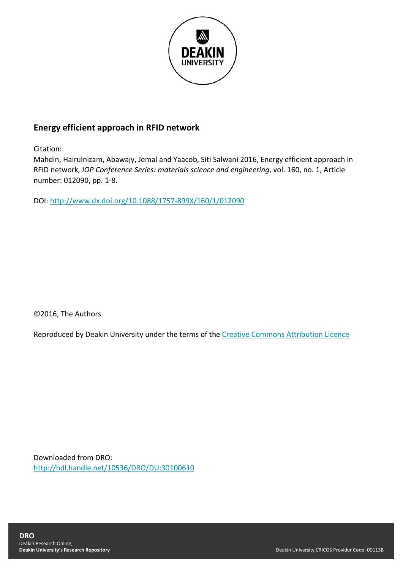

# **Energy efficient approach in RFID network**

Citation:

Mahdin, Hairulnizam, Abawajy, Jemal and Yaacob, Siti Salwani 2016, Energy efficient approach in RFID network*, IOP Conference Series: materials science and engineering*, vol. 160, no. 1, Article number: 012090, pp. 1-8.

DOI:<http://www.dx.doi.org/10.1088/1757-899X/160/1/012090>

©2016, The Authors

Reproduced by Deakin University under the terms of the [Creative Commons Attribution Licence](https://creativecommons.org/licenses/by/3.0/)

Downloaded from DRO: <http://hdl.handle.net/10536/DRO/DU:30100610>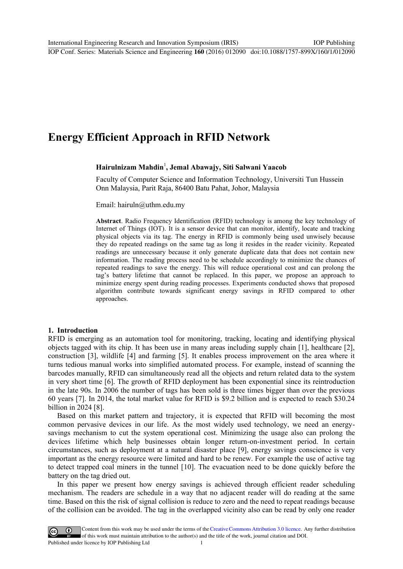# **Energy Efficient Approach in RFID Network**

# **Hairulnizam Mahdin**<sup>1</sup> **, Jemal Abawajy, Siti Salwani Yaacob**

Faculty of Computer Science and Information Technology, Universiti Tun Hussein Onn Malaysia, Parit Raja, 86400 Batu Pahat, Johor, Malaysia

Email: hairuln@uthm.edu.my

**Abstract**. Radio Frequency Identification (RFID) technology is among the key technology of Internet of Things (IOT). It is a sensor device that can monitor, identify, locate and tracking physical objects via its tag. The energy in RFID is commonly being used unwisely because they do repeated readings on the same tag as long it resides in the reader vicinity. Repeated readings are unnecessary because it only generate duplicate data that does not contain new information. The reading process need to be schedule accordingly to minimize the chances of repeated readings to save the energy. This will reduce operational cost and can prolong the tag's battery lifetime that cannot be replaced. In this paper, we propose an approach to minimize energy spent during reading processes. Experiments conducted shows that proposed algorithm contribute towards significant energy savings in RFID compared to other approaches.

#### **1. Introduction**

RFID is emerging as an automation tool for monitoring, tracking, locating and identifying physical objects tagged with its chip. It has been use in many areas including supply chain [1], healthcare [2], construction [3], wildlife [4] and farming [5]. It enables process improvement on the area where it turns tedious manual works into simplified automated process. For example, instead of scanning the barcodes manually, RFID can simultaneously read all the objects and return related data to the system in very short time [6]. The growth of RFID deployment has been exponential since its reintroduction in the late 90s. In 2006 the number of tags has been sold is three times bigger than over the previous 60 years [7]. In 2014, the total market value for RFID is \$9.2 billion and is expected to reach \$30.24 billion in 2024 [8].

Based on this market pattern and trajectory, it is expected that RFID will becoming the most common pervasive devices in our life. As the most widely used technology, we need an energysavings mechanism to cut the system operational cost. Minimizing the usage also can prolong the devices lifetime which help businesses obtain longer return-on-investment period. In certain circumstances, such as deployment at a natural disaster place [9], energy savings conscience is very important as the energy resource were limited and hard to be renew. For example the use of active tag to detect trapped coal miners in the tunnel [10]. The evacuation need to be done quickly before the battery on the tag dried out.

In this paper we present how energy savings is achieved through efficient reader scheduling mechanism. The readers are schedule in a way that no adjacent reader will do reading at the same time. Based on this the risk of signal collision is reduce to zero and the need to repeat readings because of the collision can be avoided. The tag in the overlapped vicinity also can be read by only one reader

Content from this work may be used under the terms of theCreative Commons Attribution 3.0 licence. Any further distribution  $_{\rm (cc)}$ of this work must maintain attribution to the author(s) and the title of the work, journal citation and DOI. Published under licence by IOP Publishing Ltd 1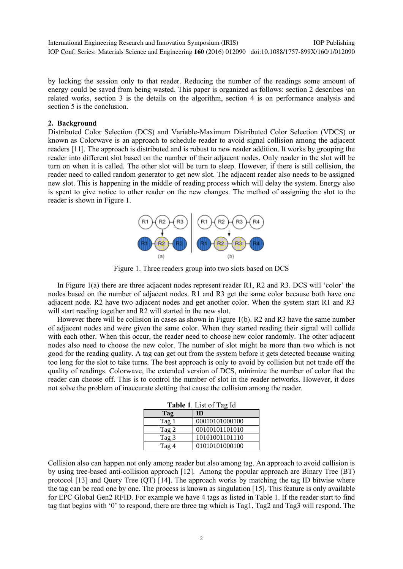by locking the session only to that reader. Reducing the number of the readings some amount of energy could be saved from being wasted. This paper is organized as follows: section 2 describes \on related works, section 3 is the details on the algorithm, section 4 is on performance analysis and section 5 is the conclusion.

# **2. Background**

Distributed Color Selection (DCS) and Variable-Maximum Distributed Color Selection (VDCS) or known as Colorwave is an approach to schedule reader to avoid signal collision among the adjacent readers [11]. The approach is distributed and is robust to new reader addition. It works by grouping the reader into different slot based on the number of their adjacent nodes. Only reader in the slot will be turn on when it is called. The other slot will be turn to sleep. However, if there is still collision, the reader need to called random generator to get new slot. The adjacent reader also needs to be assigned new slot. This is happening in the middle of reading process which will delay the system. Energy also is spent to give notice to other reader on the new changes. The method of assigning the slot to the reader is shown in Figure 1.



Figure 1. Three readers group into two slots based on DCS

In Figure 1(a) there are three adjacent nodes represent reader R1, R2 and R3. DCS will 'color' the nodes based on the number of adjacent nodes. R1 and R3 get the same color because both have one adjacent node. R2 have two adjacent nodes and get another color. When the system start R1 and R3 will start reading together and R2 will started in the new slot.

However there will be collision in cases as shown in Figure 1(b). R2 and R3 have the same number of adjacent nodes and were given the same color. When they started reading their signal will collide with each other. When this occur, the reader need to choose new color randomly. The other adjacent nodes also need to choose the new color. The number of slot might be more than two which is not good for the reading quality. A tag can get out from the system before it gets detected because waiting too long for the slot to take turns. The best approach is only to avoid by collision but not trade off the quality of readings. Colorwave, the extended version of DCS, minimize the number of color that the reader can choose off. This is to control the number of slot in the reader networks. However, it does not solve the problem of inaccurate slotting that cause the collision among the reader.

| <b>Table 1.</b> List of Tag Id |                |  |  |
|--------------------------------|----------------|--|--|
| Tag                            | <b>ID</b>      |  |  |
| Tag 1                          | 00010101000100 |  |  |
| Tag 2                          | 00100101101010 |  |  |
| Tag 3                          | 10101001101110 |  |  |
| Tag 4                          | 01010101000100 |  |  |

Collision also can happen not only among reader but also among tag. An approach to avoid collision is by using tree-based anti-collision approach [12]. Among the popular approach are Binary Tree (BT) protocol [13] and Query Tree (QT) [14]. The approach works by matching the tag ID bitwise where the tag can be read one by one. The process is known as singulation [15]. This feature is only available for EPC Global Gen2 RFID. For example we have 4 tags as listed in Table 1. If the reader start to find tag that begins with '0' to respond, there are three tag which is Tag1, Tag2 and Tag3 will respond. The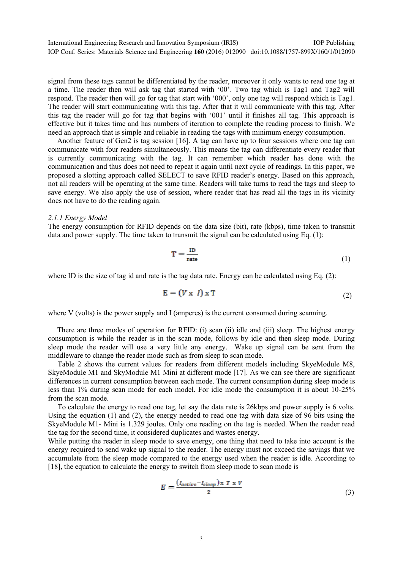signal from these tags cannot be differentiated by the reader, moreover it only wants to read one tag at a time. The reader then will ask tag that started with '00'. Two tag which is Tag1 and Tag2 will respond. The reader then will go for tag that start with '000', only one tag will respond which is Tag1. The reader will start communicating with this tag. After that it will communicate with this tag. After this tag the reader will go for tag that begins with '001' until it finishes all tag. This approach is effective but it takes time and has numbers of iteration to complete the reading process to finish. We need an approach that is simple and reliable in reading the tags with minimum energy consumption.

Another feature of Gen2 is tag session [16]. A tag can have up to four sessions where one tag can communicate with four readers simultaneously. This means the tag can differentiate every reader that is currently communicating with the tag. It can remember which reader has done with the communication and thus does not need to repeat it again until next cycle of readings. In this paper, we proposed a slotting approach called SELECT to save RFID reader's energy. Based on this approach, not all readers will be operating at the same time. Readers will take turns to read the tags and sleep to save energy. We also apply the use of session, where reader that has read all the tags in its vicinity does not have to do the reading again.

#### *2.1.1 Energy Model*

The energy consumption for RFID depends on the data size (bit), rate (kbps), time taken to transmit data and power supply. The time taken to transmit the signal can be calculated using Eq. (1):

$$
T = \frac{ID}{rate}
$$
 (1)

where ID is the size of tag id and rate is the tag data rate. Energy can be calculated using Eq. (2):

$$
\mathbf{E} = (V \times I) \times \mathbf{T} \tag{2}
$$

where V (volts) is the power supply and I (amperes) is the current consumed during scanning.

There are three modes of operation for RFID: (i) scan (ii) idle and (iii) sleep. The highest energy consumption is while the reader is in the scan mode, follows by idle and then sleep mode. During sleep mode the reader will use a very little any energy. Wake up signal can be sent from the middleware to change the reader mode such as from sleep to scan mode.

Table 2 shows the current values for readers from different models including SkyeModule M8, SkyeModule M1 and SkyModule M1 Mini at different mode [17]. As we can see there are significant differences in current consumption between each mode. The current consumption during sleep mode is less than 1% during scan mode for each model. For idle mode the consumption it is about 10-25% from the scan mode.

To calculate the energy to read one tag, let say the data rate is 26kbps and power supply is 6 volts. Using the equation (1) and (2), the energy needed to read one tag with data size of 96 bits using the SkyeModule M1- Mini is 1.329 joules. Only one reading on the tag is needed. When the reader read the tag for the second time, it considered duplicates and wastes energy.

While putting the reader in sleep mode to save energy, one thing that need to take into account is the energy required to send wake up signal to the reader. The energy must not exceed the savings that we accumulate from the sleep mode compared to the energy used when the reader is idle. According to [18], the equation to calculate the energy to switch from sleep mode to scan mode is

$$
E = \frac{(I_{active} - I_{sleep}) \times T \times V}{2}
$$
\n(3)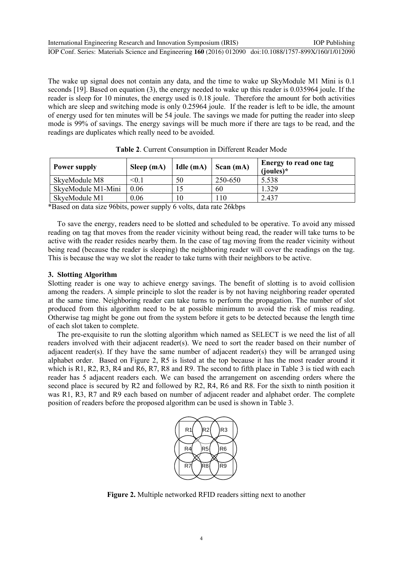International Engineering Research and Innovation Symposium (IRIS) IOP Publishing

IOP Conf. Series: Materials Science and Engineering **160** (2016) 012090 doi:10.1088/1757-899X/160/1/012090

The wake up signal does not contain any data, and the time to wake up SkyModule M1 Mini is 0.1 seconds [19]. Based on equation (3), the energy needed to wake up this reader is 0.035964 joule. If the reader is sleep for 10 minutes, the energy used is 0.18 joule. Therefore the amount for both activities which are sleep and switching mode is only 0.25964 joule. If the reader is left to be idle, the amount of energy used for ten minutes will be 54 joule. The savings we made for putting the reader into sleep mode is 99% of savings. The energy savings will be much more if there are tags to be read, and the readings are duplicates which really need to be avoided.

| Power supply       | Sleep $(mA)$ | Idle (mA) | Scan (mA) | Energy to read one tag<br>$(ioules)*$ |
|--------------------|--------------|-----------|-----------|---------------------------------------|
| SkyeModule M8      | < 0.1        | 50        | 250-650   | 5.538                                 |
| SkyeModule M1-Mini | 0.06         |           | 60        | 1.329                                 |
| SkyeModule M1      | 0.06         | $\theta$  | 110       | 2.437                                 |

| Table 2. Current Consumption in Different Reader Mode |  |
|-------------------------------------------------------|--|
|-------------------------------------------------------|--|

\*Based on data size 96bits, power supply 6 volts, data rate 26kbps

To save the energy, readers need to be slotted and scheduled to be operative. To avoid any missed reading on tag that moves from the reader vicinity without being read, the reader will take turns to be active with the reader resides nearby them. In the case of tag moving from the reader vicinity without being read (because the reader is sleeping) the neighboring reader will cover the readings on the tag. This is because the way we slot the reader to take turns with their neighbors to be active.

# **3. Slotting Algorithm**

Slotting reader is one way to achieve energy savings. The benefit of slotting is to avoid collision among the readers. A simple principle to slot the reader is by not having neighboring reader operated at the same time. Neighboring reader can take turns to perform the propagation. The number of slot produced from this algorithm need to be at possible minimum to avoid the risk of miss reading. Otherwise tag might be gone out from the system before it gets to be detected because the length time of each slot taken to complete.

The pre-exquisite to run the slotting algorithm which named as SELECT is we need the list of all readers involved with their adjacent reader(s). We need to sort the reader based on their number of adjacent reader(s). If they have the same number of adjacent reader(s) they will be arranged using alphabet order. Based on Figure 2, R5 is listed at the top because it has the most reader around it which is R1, R2, R3, R4 and R6, R7, R8 and R9. The second to fifth place in Table 3 is tied with each reader has 5 adjacent readers each. We can based the arrangement on ascending orders where the second place is secured by R2 and followed by R2, R4, R6 and R8. For the sixth to ninth position it was R1, R3, R7 and R9 each based on number of adjacent reader and alphabet order. The complete position of readers before the proposed algorithm can be used is shown in Table 3.



**Figure 2.** Multiple networked RFID readers sitting next to another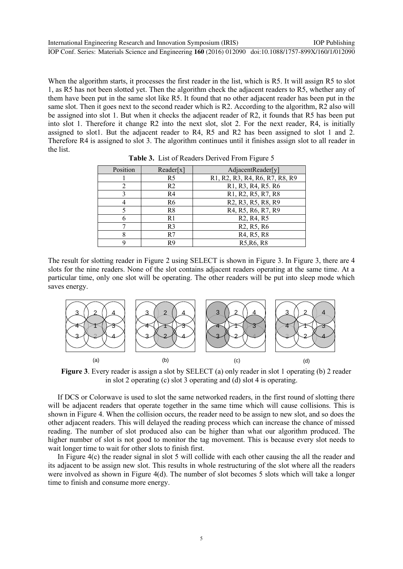When the algorithm starts, it processes the first reader in the list, which is R5. It will assign R5 to slot 1, as R5 has not been slotted yet. Then the algorithm check the adjacent readers to R5, whether any of them have been put in the same slot like R5. It found that no other adjacent reader has been put in the same slot. Then it goes next to the second reader which is R2. According to the algorithm, R2 also will be assigned into slot 1. But when it checks the adjacent reader of R2, it founds that R5 has been put into slot 1. Therefore it change R2 into the next slot, slot 2. For the next reader, R4, is initially assigned to slot1. But the adjacent reader to R4, R5 and R2 has been assigned to slot 1 and 2. Therefore R4 is assigned to slot 3. The algorithm continues until it finishes assign slot to all reader in the list.

| Position | Reader[x]      | AdjacentReader[y]                                                                  |
|----------|----------------|------------------------------------------------------------------------------------|
|          | R <sub>5</sub> | R1, R2, R3, R4, R6, R7, R8, R9                                                     |
|          | R <sub>2</sub> | R1, R3, R4, R5. R6                                                                 |
|          | R4             | R1, R2, R5, R7, R8                                                                 |
|          | R <sub>6</sub> | R <sub>2</sub> , R <sub>3</sub> , R <sub>5</sub> , R <sub>8</sub> , R <sub>9</sub> |
|          | R8             | R4, R5, R6, R7, R9                                                                 |
|          | R1             | R <sub>2</sub> , R <sub>4</sub> , R <sub>5</sub>                                   |
|          | R <sub>3</sub> | R <sub>2</sub> , R <sub>5</sub> , R <sub>6</sub>                                   |
|          | R7             | R <sub>4</sub> , R <sub>5</sub> , R <sub>8</sub>                                   |
|          | R <sub>9</sub> | R5, R6, R8                                                                         |

**Table 3.** List of Readers Derived From Figure 5

The result for slotting reader in Figure 2 using SELECT is shown in Figure 3. In Figure 3, there are 4 slots for the nine readers. None of the slot contains adjacent readers operating at the same time. At a particular time, only one slot will be operating. The other readers will be put into sleep mode which saves energy.



**Figure 3**. Every reader is assign a slot by SELECT (a) only reader in slot 1 operating (b) 2 reader in slot 2 operating (c) slot 3 operating and (d) slot 4 is operating.

If DCS or Colorwave is used to slot the same networked readers, in the first round of slotting there will be adjacent readers that operate together in the same time which will cause collisions. This is shown in Figure 4. When the collision occurs, the reader need to be assign to new slot, and so does the other adjacent readers. This will delayed the reading process which can increase the chance of missed reading. The number of slot produced also can be higher than what our algorithm produced. The higher number of slot is not good to monitor the tag movement. This is because every slot needs to wait longer time to wait for other slots to finish first.

In Figure 4(c) the reader signal in slot 5 will collide with each other causing the all the reader and its adjacent to be assign new slot. This results in whole restructuring of the slot where all the readers were involved as shown in Figure 4(d). The number of slot becomes 5 slots which will take a longer time to finish and consume more energy.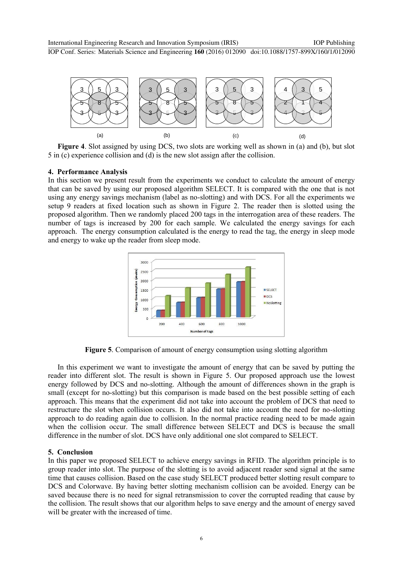

**Figure 4**. Slot assigned by using DCS, two slots are working well as shown in (a) and (b), but slot 5 in (c) experience collision and (d) is the new slot assign after the collision.

#### **4. Performance Analysis**

In this section we present result from the experiments we conduct to calculate the amount of energy that can be saved by using our proposed algorithm SELECT. It is compared with the one that is not using any energy savings mechanism (label as no-slotting) and with DCS. For all the experiments we setup 9 readers at fixed location such as shown in Figure 2. The reader then is slotted using the proposed algorithm. Then we randomly placed 200 tags in the interrogation area of these readers. The number of tags is increased by 200 for each sample. We calculated the energy savings for each approach. The energy consumption calculated is the energy to read the tag, the energy in sleep mode and energy to wake up the reader from sleep mode.



**Figure 5**. Comparison of amount of energy consumption using slotting algorithm

In this experiment we want to investigate the amount of energy that can be saved by putting the reader into different slot. The result is shown in Figure 5. Our proposed approach use the lowest energy followed by DCS and no-slotting. Although the amount of differences shown in the graph is small (except for no-slotting) but this comparison is made based on the best possible setting of each approach. This means that the experiment did not take into account the problem of DCS that need to restructure the slot when collision occurs. It also did not take into account the need for no-slotting approach to do reading again due to collision. In the normal practice reading need to be made again when the collision occur. The small difference between SELECT and DCS is because the small difference in the number of slot. DCS have only additional one slot compared to SELECT.

#### **5. Conclusion**

In this paper we proposed SELECT to achieve energy savings in RFID. The algorithm principle is to group reader into slot. The purpose of the slotting is to avoid adjacent reader send signal at the same time that causes collision. Based on the case study SELECT produced better slotting result compare to DCS and Colorwave. By having better slotting mechanism collision can be avoided. Energy can be saved because there is no need for signal retransmission to cover the corrupted reading that cause by the collision. The result shows that our algorithm helps to save energy and the amount of energy saved will be greater with the increased of time.